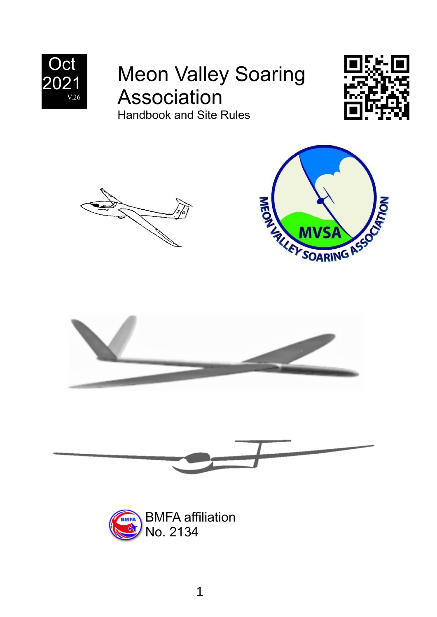

# Meon Valley Soaring Association Handbook and Site Rules











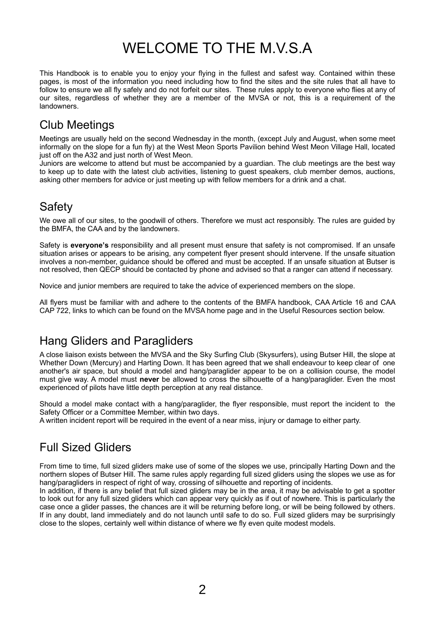## WELCOME TO THE M.V.S.A

This Handbook is to enable you to enjoy your flying in the fullest and safest way. Contained within these pages, is most of the information you need including how to find the sites and the site rules that all have to follow to ensure we all fly safely and do not forfeit our sites.These rules apply to everyone who flies at any of our sites, regardless of whether they are a member of the MVSA or not, this is a requirement of the landowners.

### Club Meetings

Meetings are usually held on the second Wednesday in the month, (except July and August, when some meet informally on the slope for a fun fly) at the West Meon Sports Pavilion behind West Meon Village Hall, located just off on the A32 and just north of West Meon.

Juniors are welcome to attend but must be accompanied by a guardian. The club meetings are the best way to keep up to date with the latest club activities, listening to guest speakers, club member demos, auctions, asking other members for advice or just meeting up with fellow members for a drink and a chat.

### **Safety**

We owe all of our sites, to the goodwill of others. Therefore we must act responsibly. The rules are guided by the BMFA, the CAA and by the landowners.

Safety is **everyone's** responsibility and all present must ensure that safety is not compromised. If an unsafe situation arises or appears to be arising, any competent flyer present should intervene. If the unsafe situation involves a non-member, guidance should be offered and must be accepted. If an unsafe situation at Butser is not resolved, then QECP should be contacted by phone and advised so that a ranger can attend if necessary.

Novice and junior members are required to take the advice of experienced members on the slope.

All flyers must be familiar with and adhere to the contents of the BMFA handbook, CAA Article 16 and CAA CAP 722, links to which can be found on the MVSA home page and in the Useful Resources section below.

## Hang Gliders and Paragliders

A close liaison exists between the MVSA and the Sky Surfing Club (Skysurfers), using Butser Hill, the slope at Whether Down (Mercury) and Harting Down. It has been agreed that we shall endeavour to keep clear of one another's air space, but should a model and hang/paraglider appear to be on a collision course, the model must give way. A model must **never** be allowed to cross the silhouette of a hang/paraglider. Even the most experienced of pilots have little depth perception at any real distance.

Should a model make contact with a hang/paraglider, the flyer responsible, must report the incident to the Safety Officer or a Committee Member, within two days.

A written incident report will be required in the event of a near miss, injury or damage to either party.

## Full Sized Gliders

From time to time, full sized gliders make use of some of the slopes we use, principally Harting Down and the northern slopes of Butser Hill. The same rules apply regarding full sized gliders using the slopes we use as for hang/paragliders in respect of right of way, crossing of silhouette and reporting of incidents.

In addition, if there is any belief that full sized gliders may be in the area, it may be advisable to get a spotter to look out for any full sized gliders which can appear very quickly as if out of nowhere. This is particularly the case once a glider passes, the chances are it will be returning before long, or will be being followed by others. If in any doubt, land immediately and do not launch until safe to do so. Full sized gliders may be surprisingly close to the slopes, certainly well within distance of where we fly even quite modest models.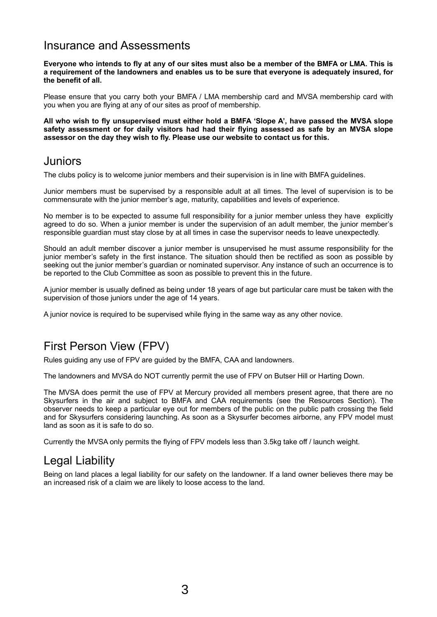### Insurance and Assessments

**Everyone who intends to fly at any of our sites must also be a member of the BMFA or LMA. This is a requirement of the landowners and enables us to be sure that everyone is adequately insured, for the benefit of all.**

Please ensure that you carry both your BMFA / LMA membership card and MVSA membership card with you when you are flying at any of our sites as proof of membership.

**All who wish to fly unsupervised must either hold a BMFA 'Slope A', have passed the MVSA slope safety assessment or for daily visitors had had their flying assessed as safe by an MVSA slope assessor on the day they wish to fly. Please use our website to contact us for this.**

#### **Juniors**

The clubs policy is to welcome junior members and their supervision is in line with BMFA guidelines.

Junior members must be supervised by a responsible adult at all times. The level of supervision is to be commensurate with the junior member's age, maturity, capabilities and levels of experience.

No member is to be expected to assume full responsibility for a junior member unless they have explicitly agreed to do so. When a junior member is under the supervision of an adult member, the junior member's responsible guardian must stay close by at all times in case the supervisor needs to leave unexpectedly.

Should an adult member discover a junior member is unsupervised he must assume responsibility for the junior member's safety in the first instance. The situation should then be rectified as soon as possible by seeking out the junior member's guardian or nominated supervisor. Any instance of such an occurrence is to be reported to the Club Committee as soon as possible to prevent this in the future.

A junior member is usually defined as being under 18 years of age but particular care must be taken with the supervision of those juniors under the age of 14 years.

A junior novice is required to be supervised while flying in the same way as any other novice.

## First Person View (FPV)

Rules guiding any use of FPV are guided by the BMFA, CAA and landowners.

The landowners and MVSA do NOT currently permit the use of FPV on Butser Hill or Harting Down.

The MVSA does permit the use of FPV at Mercury provided all members present agree, that there are no Skysurfers in the air and subject to BMFA and CAA requirements (see the Resources Section). The observer needs to keep a particular eye out for members of the public on the public path crossing the field and for Skysurfers considering launching. As soon as a Skysurfer becomes airborne, any FPV model must land as soon as it is safe to do so.

Currently the MVSA only permits the flying of FPV models less than 3.5kg take off / launch weight.

### Legal Liability

Being on land places a legal liability for our safety on the landowner. If a land owner believes there may be an increased risk of a claim we are likely to loose access to the land.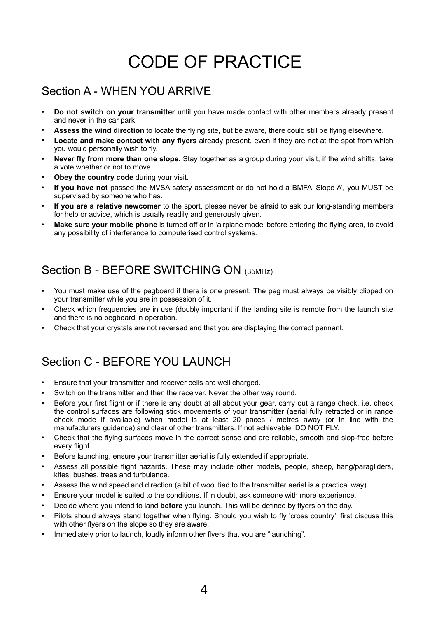# CODE OF PRACTICE

## Section A - WHEN YOU ARRIVE

- **Do not switch on your transmitter** until you have made contact with other members already present and never in the car park.
- Assess the wind direction to locate the flying site, but be aware, there could still be flying elsewhere.
- **Locate and make contact with any flyers** already present, even if they are not at the spot from which you would personally wish to fly.
- **Never fly from more than one slope.** Stay together as a group during your visit, if the wind shifts, take a vote whether or not to move.
- **Obey the country code** during your visit.
- If you have not passed the MVSA safety assessment or do not hold a BMFA 'Slope A', you MUST be supervised by someone who has.
- **If you are a relative newcomer** to the sport, please never be afraid to ask our long-standing members for help or advice, which is usually readily and generously given.
- **Make sure your mobile phone** is turned off or in 'airplane mode' before entering the flying area, to avoid any possibility of interference to computerised control systems.

## Section B - BEFORE SWITCHING ON (35MHz)

- You must make use of the pegboard if there is one present. The peg must always be visibly clipped on your transmitter while you are in possession of it.
- Check which frequencies are in use (doubly important if the landing site is remote from the launch site and there is no pegboard in operation.
- Check that your crystals are not reversed and that you are displaying the correct pennant.

## Section C - BEFORE YOU LAUNCH

- Ensure that your transmitter and receiver cells are well charged.
- Switch on the transmitter and then the receiver. Never the other way round.
- Before your first flight or if there is any doubt at all about your gear, carry out a range check, i.e. check the control surfaces are following stick movements of your transmitter (aerial fully retracted or in range check mode if available) when model is at least 20 paces / metres away (or in line with the manufacturers guidance) and clear of other transmitters. If not achievable, DO NOT FLY.
- Check that the flying surfaces move in the correct sense and are reliable, smooth and slop-free before every flight.
- Before launching, ensure your transmitter aerial is fully extended if appropriate.
- Assess all possible flight hazards. These may include other models, people, sheep, hang/paragliders, kites, bushes, trees and turbulence.
- Assess the wind speed and direction (a bit of wool tied to the transmitter aerial is a practical way).
- Ensure your model is suited to the conditions. If in doubt, ask someone with more experience.
- Decide where you intend to land **before** you launch. This will be defined by flyers on the day.
- Pilots should always stand together when flying. Should you wish to fly 'cross country', first discuss this with other flyers on the slope so they are aware.
- Immediately prior to launch, loudly inform other flyers that you are "launching".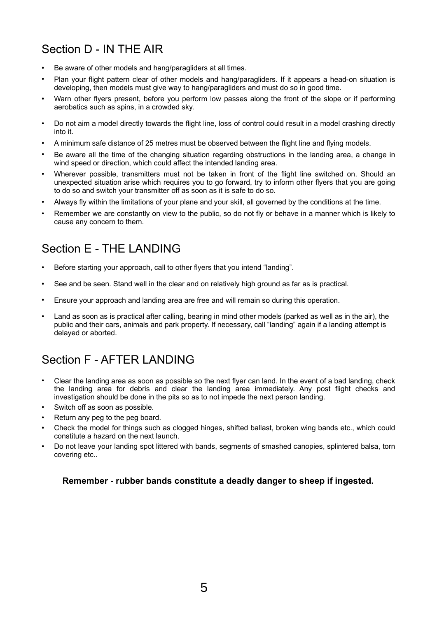## Section D - IN THE AIR

- Be aware of other models and hang/paragliders at all times.
- Plan your flight pattern clear of other models and hang/paragliders. If it appears a head-on situation is developing, then models must give way to hang/paragliders and must do so in good time.
- Warn other flyers present, before you perform low passes along the front of the slope or if performing aerobatics such as spins, in a crowded sky.
- Do not aim a model directly towards the flight line, loss of control could result in a model crashing directly into it.
- A minimum safe distance of 25 metres must be observed between the flight line and flying models.
- Be aware all the time of the changing situation regarding obstructions in the landing area, a change in wind speed or direction, which could affect the intended landing area.
- Wherever possible, transmitters must not be taken in front of the flight line switched on. Should an unexpected situation arise which requires you to go forward, try to inform other flyers that you are going to do so and switch your transmitter off as soon as it is safe to do so.
- Always fly within the limitations of your plane and your skill, all governed by the conditions at the time.
- Remember we are constantly on view to the public, so do not fly or behave in a manner which is likely to cause any concern to them.

## Section E - THE LANDING

- Before starting your approach, call to other flyers that you intend "landing".
- See and be seen. Stand well in the clear and on relatively high ground as far as is practical.
- Ensure your approach and landing area are free and will remain so during this operation.
- Land as soon as is practical after calling, bearing in mind other models (parked as well as in the air), the public and their cars, animals and park property. If necessary, call "landing" again if a landing attempt is delayed or aborted.

## Section F - AFTER LANDING

- Clear the landing area as soon as possible so the next flyer can land. In the event of a bad landing, check the landing area for debris and clear the landing area immediately. Any post flight checks and investigation should be done in the pits so as to not impede the next person landing.
- Switch off as soon as possible.
- Return any peg to the peg board.
- Check the model for things such as clogged hinges, shifted ballast, broken wing bands etc., which could constitute a hazard on the next launch.
- Do not leave your landing spot littered with bands, segments of smashed canopies, splintered balsa, torn covering etc..

#### **Remember - rubber bands constitute a deadly danger to sheep if ingested.**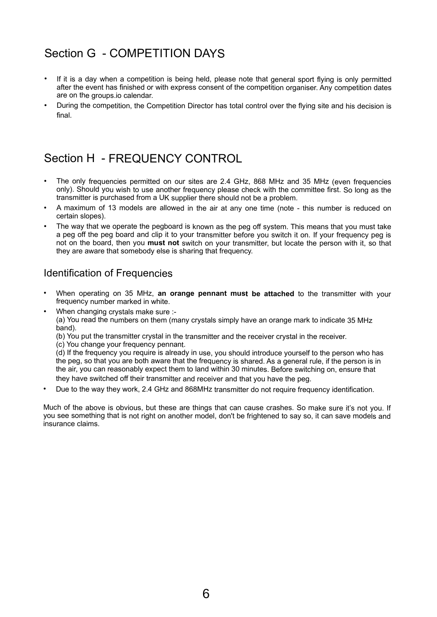## Section G - COMPETITION DAYS

- If it is a day when a competition is being held, please note that general sport flying is only permitted after the event has finished or with express consent of the competition organiser. Any competition dates are on the groups.io calendar.
- During the competition, the Competition Director has total control over the flying site and his decision is final.

## Section H - FREQUENCY CONTROL

- The only frequencies permitted on our sites are 2.4 GHz, 868 MHz and 35 MHz (even frequencies only). Should you wish to use another frequency please check with the committee first. So long as the transmitter is purchased from a UK supplier there should not be a problem.
- A maximum of 13 models are allowed in the air at any one time (note this number is reduced on certain slopes).
- The way that we operate the pegboard is known as the peg off system. This means that you must take a peg off the peg board and clip it to your transmitter before you switch it on. If your frequency peg is not on the board, then you **must not** switch on your transmitter, but locate the person with it, so that they are aware that somebody else is sharing that frequency.

### Identification of Frequencies

- When operating on 35 MHz, **an orange pennant must be attached** to the transmitter with your frequency number marked in white.
- When changing crystals make sure :-

(a) You read the numbers on them (many crystals simply have an orange mark to indicate 35 MHz band).

(b) You put the transmitter crystal in the transmitter and the receiver crystal in the receiver.

(c) You change your frequency pennant.

(d) If the frequency you require is already in use, you should introduce yourself to the person who has the peg, so that you are both aware that the frequency is shared. As a general rule, if the person is in the air, you can reasonably expect them to land within 30 minutes. Before switching on, ensure that they have switched off their transmitter and receiver and that you have the peg.

Due to the way they work, 2.4 GHz and 868MHz transmitter do not require frequency identification.

Much of the above is obvious, but these are things that can cause crashes. So make sure it's not you. If you see something that is not right on another model, don't be frightened to say so, it can save models and insurance claims.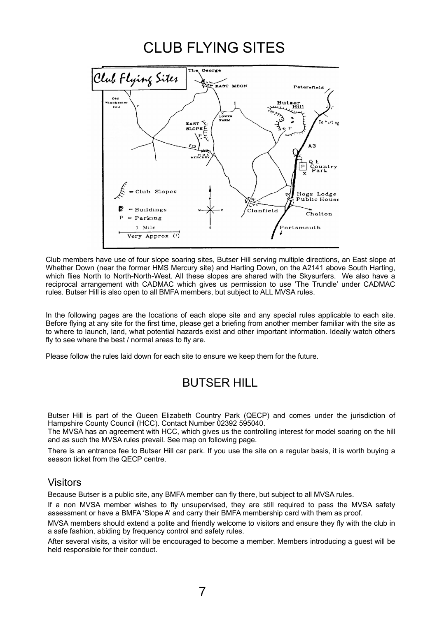## CLUB FLYING SITES



Club members have use of four slope soaring sites, Butser Hill serving multiple directions, an East slope at Whether Down (near the former HMS Mercury site) and Harting Down, on the A2141 above South Harting, which flies North to North-North-West. All these slopes are shared with the Skysurfers. We also have a reciprocal arrangement with CADMAC which gives us permission to use 'The Trundle' under CADMAC rules. Butser Hill is also open to all BMFA members, but subject to ALL MVSA rules.

In the following pages are the locations of each slope site and any special rules applicable to each site. Before flying at any site for the first time, please get a briefing from another member familiar with the site as to where to launch, land, what potential hazards exist and other important information. Ideally watch others fly to see where the best / normal areas to fly are.

Please follow the rules laid down for each site to ensure we keep them for the future.

### BUTSER HILL

Butser Hill is part of the Queen Elizabeth Country Park (QECP) and comes under the jurisdiction of Hampshire County Council (HCC). Contact Number 02392 595040.

The MVSA has an agreement with HCC, which gives us the controlling interest for model soaring on the hill and as such the MVSA rules prevail. See map on following page.

There is an entrance fee to Butser Hill car park. If you use the site on a regular basis, it is worth buying a season ticket from the QECP centre.

#### Visitors

Because Butser is a public site, any BMFA member can fly there, but subject to all MVSA rules.

If a non MVSA member wishes to fly unsupervised, they are still required to pass the MVSA safety assessment or have a BMFA 'Slope A' and carry their BMFA membership card with them as proof.

MVSA members should extend a polite and friendly welcome to visitors and ensure they fly with the club in a safe fashion, abiding by frequency control and safety rules.

After several visits, a visitor will be encouraged to become a member. Members introducing a guest will be held responsible for their conduct.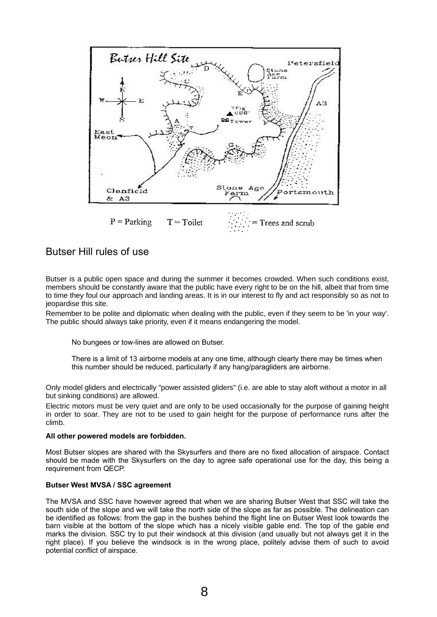

#### Butser Hill rules of use

Butser is a public open space and during the summer it becomes crowded. When such conditions exist, members should be constantly aware that the public have every right to be on the hill, albeit that from time to time they foul our approach and landing areas. It is in our interest to fly and act responsibly so as not to jeopardise this site.

Remember to be polite and diplomatic when dealing with the public, even if they seem to be 'in your way'. The public should always take priority, even if it means endangering the model.

No bungees or tow-lines are allowed on Butser.

There is a limit of 13 airborne models at any one time, although clearly there may be times when this number should be reduced, particularly if any hang/paragliders are airborne.

Only model gliders and electrically "power assisted gliders" (i.e. are able to stay aloft without a motor in all but sinking conditions) are allowed.

Electric motors must be very quiet and are only to be used occasionally for the purpose of gaining height in order to soar. They are not to be used to gain height for the purpose of performance runs after the climb.

#### **All other powered models are forbidden.**

Most Butser slopes are shared with the Skysurfers and there are no fixed allocation of airspace. Contact should be made with the Skysurfers on the day to agree safe operational use for the day, this being a requirement from QECP.

#### **Butser West MVSA / SSC agreement**

The MVSA and SSC have however agreed that when we are sharing Butser West that SSC will take the south side of the slope and we will take the north side of the slope as far as possible. The delineation can be identified as follows: from the gap in the bushes behind the flight line on Butser West look towards the barn visible at the bottom of the slope which has a nicely visible gable end. The top of the gable end marks the division. SSC try to put their windsock at this division (and usually but not always get it in the right place). If you believe the windsock is in the wrong place, politely advise them of such to avoid potential conflict of airspace.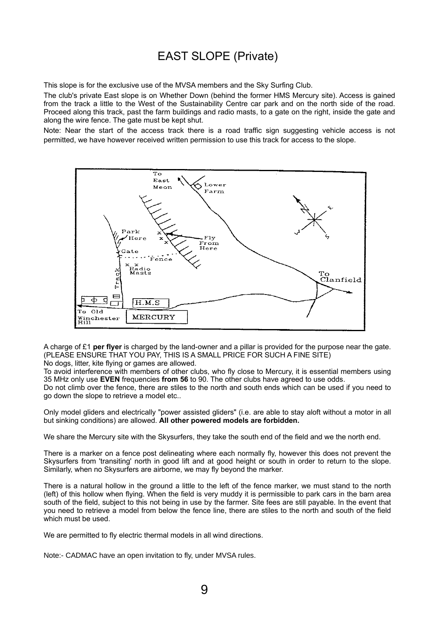## EAST SLOPE (Private)

This slope is for the exclusive use of the MVSA members and the Sky Surfing Club.

The club's private East slope is on Whether Down (behind the former HMS Mercury site). Access is gained from the track a little to the West of the Sustainability Centre car park and on the north side of the road. Proceed along this track, past the farm buildings and radio masts, to a gate on the right, inside the gate and along the wire fence. The gate must be kept shut.

Note: Near the start of the access track there is a road traffic sign suggesting vehicle access is not permitted, we have however received written permission to use this track for access to the slope.



A charge of £1 **per flyer** is charged by the land-owner and a pillar is provided for the purpose near the gate. (PLEASE ENSURE THAT YOU PAY, THIS IS A SMALL PRICE FOR SUCH A FINE SITE)

No dogs, litter, kite flying or games are allowed.

To avoid interference with members of other clubs, who fly close to Mercury, it is essential members using 35 MHz only use **EVEN** frequencies **from 56** to 90. The other clubs have agreed to use odds.

Do not climb over the fence, there are stiles to the north and south ends which can be used if you need to go down the slope to retrieve a model etc..

Only model gliders and electrically "power assisted gliders" (i.e. are able to stay aloft without a motor in all but sinking conditions) are allowed. **All other powered models are forbidden.**

We share the Mercury site with the Skysurfers, they take the south end of the field and we the north end.

There is a marker on a fence post delineating where each normally fly, however this does not prevent the Skysurfers from 'transiting' north in good lift and at good height or south in order to return to the slope. Similarly, when no Skysurfers are airborne, we may fly beyond the marker.

There is a natural hollow in the ground a little to the left of the fence marker, we must stand to the north (left) of this hollow when flying. When the field is very muddy it is permissible to park cars in the barn area south of the field, subject to this not being in use by the farmer. Site fees are still payable. In the event that you need to retrieve a model from below the fence line, there are stiles to the north and south of the field which must be used.

We are permitted to fly electric thermal models in all wind directions.

Note:- CADMAC have an open invitation to fly, under MVSA rules.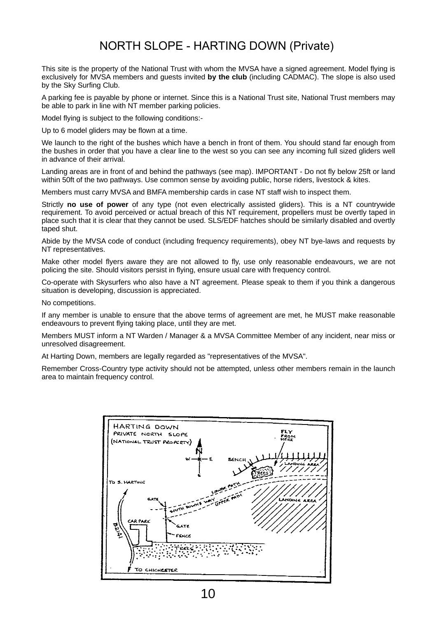### NORTH SLOPE - HARTING DOWN (Private)

This site is the property of the National Trust with whom the MVSA have a signed agreement. Model flying is exclusively for MVSA members and guests invited **by the club** (including CADMAC). The slope is also used by the Sky Surfing Club.

A parking fee is payable by phone or internet. Since this is a National Trust site, National Trust members may be able to park in line with NT member parking policies.

Model flying is subject to the following conditions:-

Up to 6 model gliders may be flown at a time.

We launch to the right of the bushes which have a bench in front of them. You should stand far enough from the bushes in order that you have a clear line to the west so you can see any incoming full sized gliders well in advance of their arrival.

Landing areas are in front of and behind the pathways (see map). IMPORTANT - Do not fly below 25ft or land within 50ft of the two pathways. Use common sense by avoiding public, horse riders, livestock & kites.

Members must carry MVSA and BMFA membership cards in case NT staff wish to inspect them.

Strictly **no use of power** of any type (not even electrically assisted gliders). This is a NT countrywide requirement. To avoid perceived or actual breach of this NT requirement, propellers must be overtly taped in place such that it is clear that they cannot be used. SLS/EDF hatches should be similarly disabled and overtly taped shut.

Abide by the MVSA code of conduct (including frequency requirements), obey NT bye-laws and requests by NT representatives.

Make other model flyers aware they are not allowed to fly, use only reasonable endeavours, we are not policing the site. Should visitors persist in flying, ensure usual care with frequency control.

Co-operate with Skysurfers who also have a NT agreement. Please speak to them if you think a dangerous situation is developing, discussion is appreciated.

No competitions.

If any member is unable to ensure that the above terms of agreement are met, he MUST make reasonable endeavours to prevent flying taking place, until they are met.

Members MUST inform a NT Warden / Manager & a MVSA Committee Member of any incident, near miss or unresolved disagreement.

At Harting Down, members are legally regarded as "representatives of the MVSA".

Remember Cross-Country type activity should not be attempted, unless other members remain in the launch area to maintain frequency control.

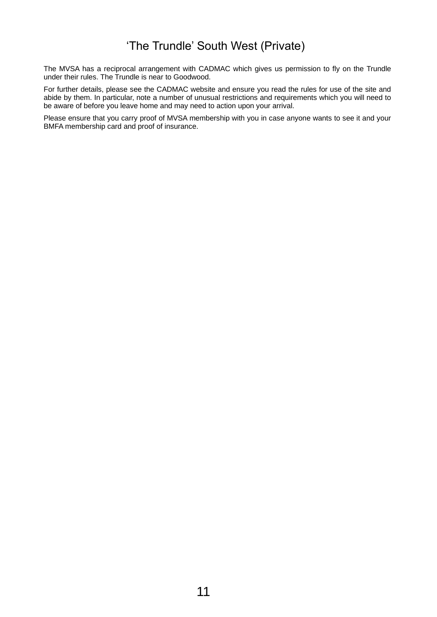## 'The Trundle' South West (Private)

The MVSA has a reciprocal arrangement with CADMAC which gives us permission to fly on the Trundle under their rules. The Trundle is near to Goodwood.

For further details, please see the CADMAC website and ensure you read the rules for use of the site and abide by them. In particular, note a number of unusual restrictions and requirements which you will need to be aware of before you leave home and may need to action upon your arrival.

Please ensure that you carry proof of MVSA membership with you in case anyone wants to see it and your BMFA membership card and proof of insurance.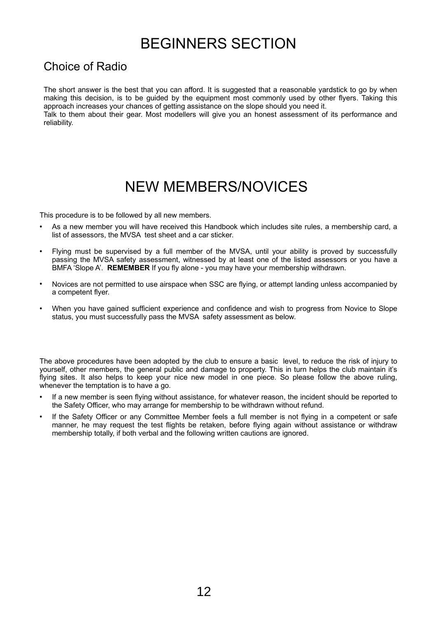## BEGINNERS SECTION

### Choice of Radio

The short answer is the best that you can afford. It is suggested that a reasonable yardstick to go by when making this decision, is to be guided by the equipment most commonly used by other flyers. Taking this approach increases your chances of getting assistance on the slope should you need it.

Talk to them about their gear. Most modellers will give you an honest assessment of its performance and reliability.

## NEW MEMBERS/NOVICES

This procedure is to be followed by all new members.

- As a new member you will have received this Handbook which includes site rules, a membership card, a list of assessors, the MVSA test sheet and a car sticker.
- Flying must be supervised by a full member of the MVSA, until your ability is proved by successfully passing the MVSA safety assessment, witnessed by at least one of the listed assessors or you have a BMFA 'Slope A'. **REMEMBER** If you fly alone - you may have your membership withdrawn.
- Novices are not permitted to use airspace when SSC are flying, or attempt landing unless accompanied by a competent flyer.
- When you have gained sufficient experience and confidence and wish to progress from Novice to Slope status, you must successfully pass the MVSA safety assessment as below.

The above procedures have been adopted by the club to ensure a basic level, to reduce the risk of injury to yourself, other members, the general public and damage to property. This in turn helps the club maintain it's flying sites. It also helps to keep your nice new model in one piece. So please follow the above ruling, whenever the temptation is to have a go.

- If a new member is seen flying without assistance, for whatever reason, the incident should be reported to the Safety Officer, who may arrange for membership to be withdrawn without refund.
- If the Safety Officer or any Committee Member feels a full member is not flying in a competent or safe manner, he may request the test flights be retaken, before flying again without assistance or withdraw membership totally, if both verbal and the following written cautions are ignored.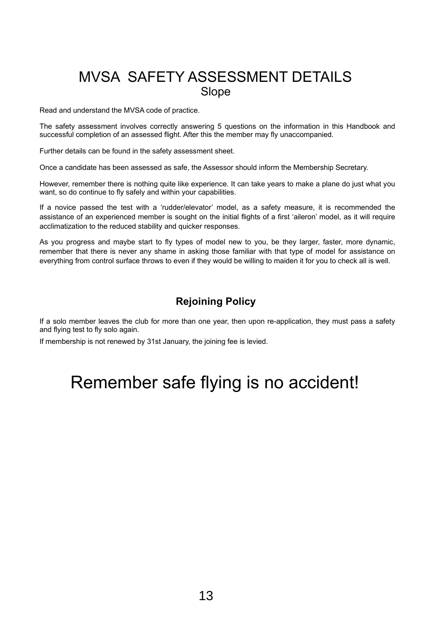## MVSA SAFETY ASSESSMENT DETAILS Slope

Read and understand the MVSA code of practice.

The safety assessment involves correctly answering 5 questions on the information in this Handbook and successful completion of an assessed flight. After this the member may fly unaccompanied.

Further details can be found in the safety assessment sheet.

Once a candidate has been assessed as safe, the Assessor should inform the Membership Secretary.

However, remember there is nothing quite like experience. It can take years to make a plane do just what you want, so do continue to fly safely and within your capabilities.

If a novice passed the test with a 'rudder/elevator' model, as a safety measure, it is recommended the assistance of an experienced member is sought on the initial flights of a first 'aileron' model, as it will require acclimatization to the reduced stability and quicker responses.

As you progress and maybe start to fly types of model new to you, be they larger, faster, more dynamic, remember that there is never any shame in asking those familiar with that type of model for assistance on everything from control surface throws to even if they would be willing to maiden it for you to check all is well.

#### **Rejoining Policy**

If a solo member leaves the club for more than one year, then upon re-application, they must pass a safety and flying test to fly solo again.

If membership is not renewed by 31st January, the joining fee is levied.

## Remember safe flying is no accident!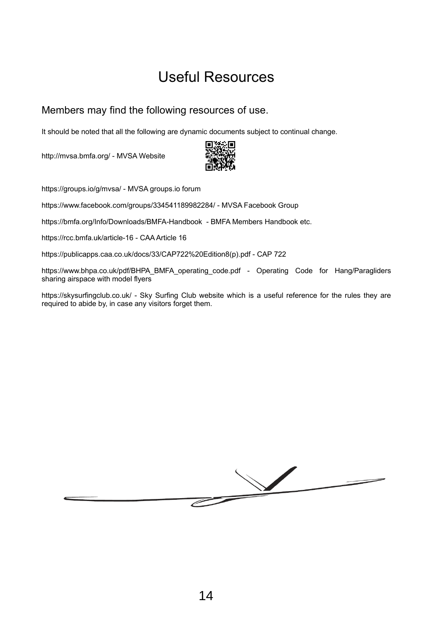## Useful Resources

#### Members may find the following resources of use.

It should be noted that all the following are dynamic documents subject to continual change.

<http://mvsa.bmfa.org/>- MVSA Website



<https://groups.io/g/mvsa/>- MVSA groups.io forum

<https://www.facebook.com/groups/334541189982284/>- MVSA Facebook Group

<https://bmfa.org/Info/Downloads/BMFA-Handbook>- BMFA Members Handbook etc.

<https://rcc.bmfa.uk/article-16>- CAA Article 16

[https://publicapps.caa.co.uk/docs/33/CAP722%20Edition8\(p\).pdf](https://publicapps.caa.co.uk/docs/33/CAP722%20Edition8(p).pdf) - CAP 722

[https://www.bhpa.co.uk/pdf/BHPA\\_BMFA\\_operating\\_code.pdf](https://www.bhpa.co.uk/pdf/BHPA_BMFA_operating_code.pdf) - Operating Code for Hang/Paragliders sharing airspace with model flyers

<https://skysurfingclub.co.uk/>- Sky Surfing Club website which is a useful reference for the rules they are required to abide by, in case any visitors forget them.